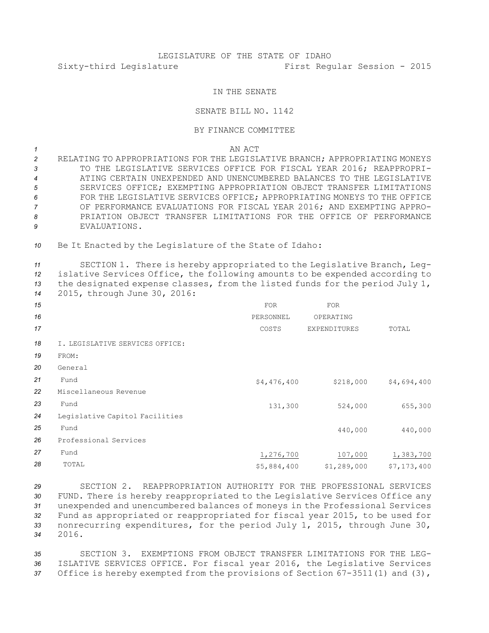## IN THE SENATE

## SENATE BILL NO. 1142

## BY FINANCE COMMITTEE

*1* AN ACT

 RELATING TO APPROPRIATIONS FOR THE LEGISLATIVE BRANCH; APPROPRIATING MONEYS TO THE LEGISLATIVE SERVICES OFFICE FOR FISCAL YEAR 2016; REAPPROPRI- ATING CERTAIN UNEXPENDED AND UNENCUMBERED BALANCES TO THE LEGISLATIVE SERVICES OFFICE; EXEMPTING APPROPRIATION OBJECT TRANSFER LIMITATIONS FOR THE LEGISLATIVE SERVICES OFFICE; APPROPRIATING MONEYS TO THE OFFICE OF PERFORMANCE EVALUATIONS FOR FISCAL YEAR 2016; AND EXEMPTING APPRO- PRIATION OBJECT TRANSFER LIMITATIONS FOR THE OFFICE OF PERFORMANCE EVALUATIONS.

*<sup>10</sup>* Be It Enacted by the Legislature of the State of Idaho:

 SECTION 1. There is hereby appropriated to the Legislative Branch, Leg- islative Services Office, the following amounts to be expended according to the designated expense classes, from the listed funds for the period July 1, 2015, through June 30, 2016:

| 15 |                                 | <b>FOR</b>  | <b>FOR</b>   |             |
|----|---------------------------------|-------------|--------------|-------------|
| 16 |                                 | PERSONNEL   | OPERATING    |             |
| 17 |                                 | COSTS       | EXPENDITURES | TOTAL       |
| 18 | I. LEGISLATIVE SERVICES OFFICE: |             |              |             |
| 19 | FROM:                           |             |              |             |
| 20 | General                         |             |              |             |
| 21 | Fund                            | \$4,476,400 | \$218,000    | \$4,694,400 |
| 22 | Miscellaneous Revenue           |             |              |             |
| 23 | Fund                            | 131,300     | 524,000      | 655,300     |
| 24 | Legislative Capitol Facilities  |             |              |             |
| 25 | Fund                            |             | 440,000      | 440,000     |
| 26 | Professional Services           |             |              |             |
| 27 | Fund                            | 1,276,700   | 107,000      | 1,383,700   |
| 28 | TOTAL                           | \$5,884,400 | \$1,289,000  | \$7,173,400 |

 SECTION 2. REAPPROPRIATION AUTHORITY FOR THE PROFESSIONAL SERVICES FUND. There is hereby reappropriated to the Legislative Services Office any unexpended and unencumbered balances of moneys in the Professional Services Fund as appropriated or reappropriated for fiscal year 2015, to be used for nonrecurring expenditures, for the period July 1, 2015, through June 30, *34* 2016.

*35* SECTION 3. EXEMPTIONS FROM OBJECT TRANSFER LIMITATIONS FOR THE LEG-*<sup>36</sup>* ISLATIVE SERVICES OFFICE. For fiscal year 2016, the Legislative Services *<sup>37</sup>* Office is hereby exempted from the provisions of Section 67-3511(1) and (3),